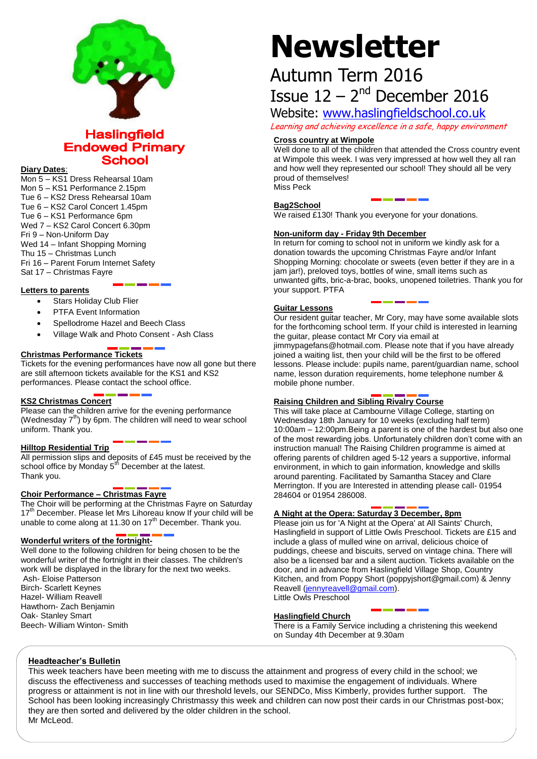

### **Haslingfield Endowed Primary School**

#### **Diary Dates**:

Mon 5 – KS1 Dress Rehearsal 10am Mon 5 – KS1 Performance 2.15pm Tue 6 – KS2 Dress Rehearsal 10am Tue 6 – KS2 Carol Concert 1.45pm Tue 6 – KS1 Performance 6pm Wed 7 – KS2 Carol Concert 6.30pm Fri 9 – Non-Uniform Day Wed 14 – Infant Shopping Morning Thu 15 – Christmas Lunch Fri 16 – Parent Forum Internet Safety Sat 17 – Christmas Fayre

#### **Letters to parents**

- Stars Holiday Club Flier
- PTFA Event Information
- Spellodrome Hazel and Beech Class
- Village Walk and Photo Consent Ash Class

#### **Christmas Performance Tickets**

Tickets for the evening performances have now all gone but there are still afternoon tickets available for the KS1 and KS2 performances. Please contact the school office.

#### **KS2 Christmas Concert**

Please can the children arrive for the evening performance (Wednesday  $7<sup>th</sup>$ ) by 6pm. The children will need to wear school uniform. Thank you.

#### **Hilltop Residential Trip**

All permission slips and deposits of £45 must be received by the school office by Monday 5<sup>th</sup> December at the latest. Thank you.

#### **Choir Performance – Christmas Fayre**

The Choir will be performing at the Christmas Fayre on Saturday 17<sup>th</sup> December. Please let Mrs Lihoreau know If your child will be unable to come along at 11.30 on  $17<sup>th</sup>$  December. Thank you.

#### **Wonderful writers of the fortnight-**

Well done to the following children for being chosen to be the wonderful writer of the fortnight in their classes. The children's work will be displayed in the library for the next two weeks. Ash- Eloise Patterson Birch- Scarlett Keynes

Hazel- William Reavell Hawthorn- Zach Benjamin Oak- Stanley Smart Beech- William Winton- Smith

# **Newsletter**

## Autumn Term 2016 Issue  $12 - 2<sup>nd</sup>$  December 2016

Website: [www.haslingfieldschool.co.uk](http://www.haslingfieldschool.co.uk/)

Learning and achieving excellence in a safe, happy environment

#### **Cross country at Wimpole**

Well done to all of the children that attended the Cross country event at Wimpole this week. I was very impressed at how well they all ran and how well they represented our school! They should all be very proud of themselves! Miss Peck

#### **Bag2School**

We raised £130! Thank you everyone for your donations.

#### **Non-uniform day - Friday 9th December**

In return for coming to school not in uniform we kindly ask for a donation towards the upcoming Christmas Fayre and/or Infant Shopping Morning: chocolate or sweets (even better if they are in a jam jar!), preloved toys, bottles of wine, small items such as unwanted gifts, bric-a-brac, books, unopened toiletries. Thank you for your support. PTFA

#### **Guitar Lessons**

Our resident guitar teacher, Mr Cory, may have some available slots for the forthcoming school term. If your child is interested in learning the guitar, please contact Mr Cory via email at jimmypagefans@hotmail.com. Please note that if you have already joined a waiting list, then your child will be the first to be offered lessons. Please include: pupils name, parent/guardian name, school name, lesson duration requirements, home telephone number & mobile phone number.

#### **Raising Children and Sibling Rivalry Course**

This will take place at Cambourne Village College, starting on Wednesday 18th January for 10 weeks (excluding half term) 10:00am – 12:00pm.Being a parent is one of the hardest but also one of the most rewarding jobs. Unfortunately children don't come with an instruction manual! The Raising Children programme is aimed at offering parents of children aged 5-12 years a supportive, informal environment, in which to gain information, knowledge and skills around parenting. Facilitated by Samantha Stacey and Clare Merrington. If you are Interested in attending please call- 01954 284604 or 01954 286008.

#### **A Night at the Opera: Saturday 3 December, 8pm**

Please join us for 'A Night at the Opera' at All Saints' Church, Haslingfield in support of Little Owls Preschool. Tickets are £15 and include a glass of mulled wine on arrival, delicious choice of puddings, cheese and biscuits, served on vintage china. There will also be a licensed bar and a silent auction. Tickets available on the door, and in advance from Haslingfield Village Shop, Country Kitchen, and from Poppy Short (poppyjshort@gmail.com) & Jenny Reavell [\(jennyreavell@gmail.com\)](mailto:jennyreavell@gmail.com). Little Owls Preschool

#### **Haslingfield Church**

There is a Family Service including a christening this weekend on Sunday 4th December at 9.30am

#### **Headteacher's Bulletin**

This week teachers have been meeting with me to discuss the attainment and progress of every child in the school; we discuss the effectiveness and successes of teaching methods used to maximise the engagement of individuals. Where progress or attainment is not in line with our threshold levels, our SENDCo, Miss Kimberly, provides further support. The School has been looking increasingly Christmassy this week and children can now post their cards in our Christmas post-box; they are then sorted and delivered by the older children in the school. Mr McLeod